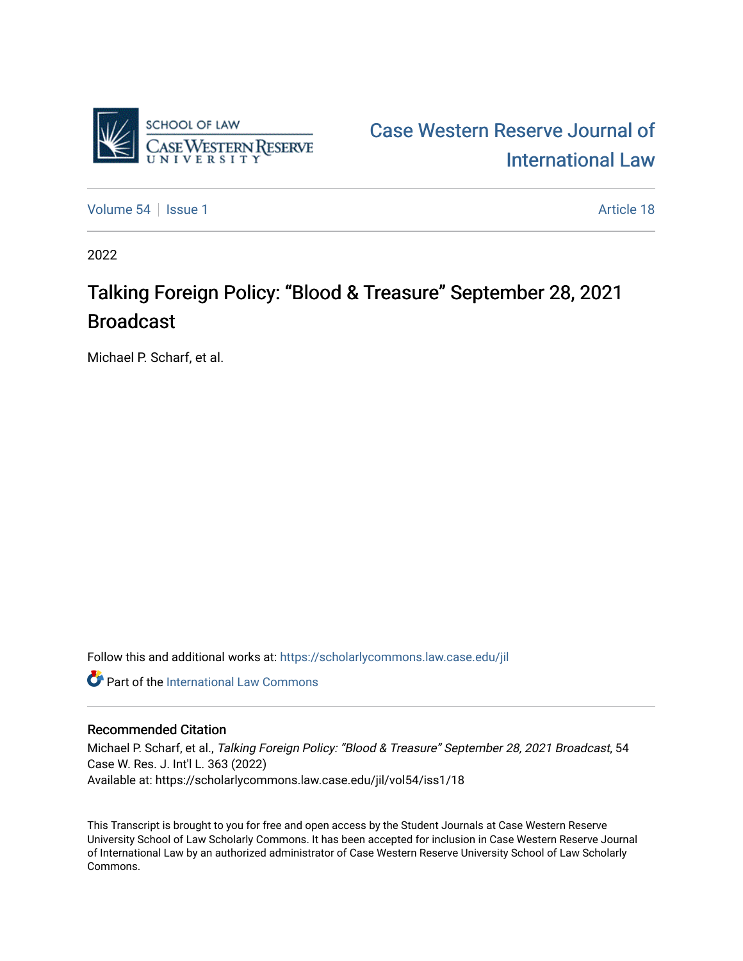

[Case Western Reserve Journal of](https://scholarlycommons.law.case.edu/jil)  [International Law](https://scholarlycommons.law.case.edu/jil) 

[Volume 54](https://scholarlycommons.law.case.edu/jil/vol54) | [Issue 1](https://scholarlycommons.law.case.edu/jil/vol54/iss1) Article 18

2022

## Talking Foreign Policy: "Blood & Treasure" September 28, 2021 Broadcast

Michael P. Scharf, et al.

Follow this and additional works at: [https://scholarlycommons.law.case.edu/jil](https://scholarlycommons.law.case.edu/jil?utm_source=scholarlycommons.law.case.edu%2Fjil%2Fvol54%2Fiss1%2F18&utm_medium=PDF&utm_campaign=PDFCoverPages) 

**C** Part of the International Law Commons

## Recommended Citation

Michael P. Scharf, et al., Talking Foreign Policy: "Blood & Treasure" September 28, 2021 Broadcast, 54 Case W. Res. J. Int'l L. 363 (2022) Available at: https://scholarlycommons.law.case.edu/jil/vol54/iss1/18

This Transcript is brought to you for free and open access by the Student Journals at Case Western Reserve University School of Law Scholarly Commons. It has been accepted for inclusion in Case Western Reserve Journal of International Law by an authorized administrator of Case Western Reserve University School of Law Scholarly Commons.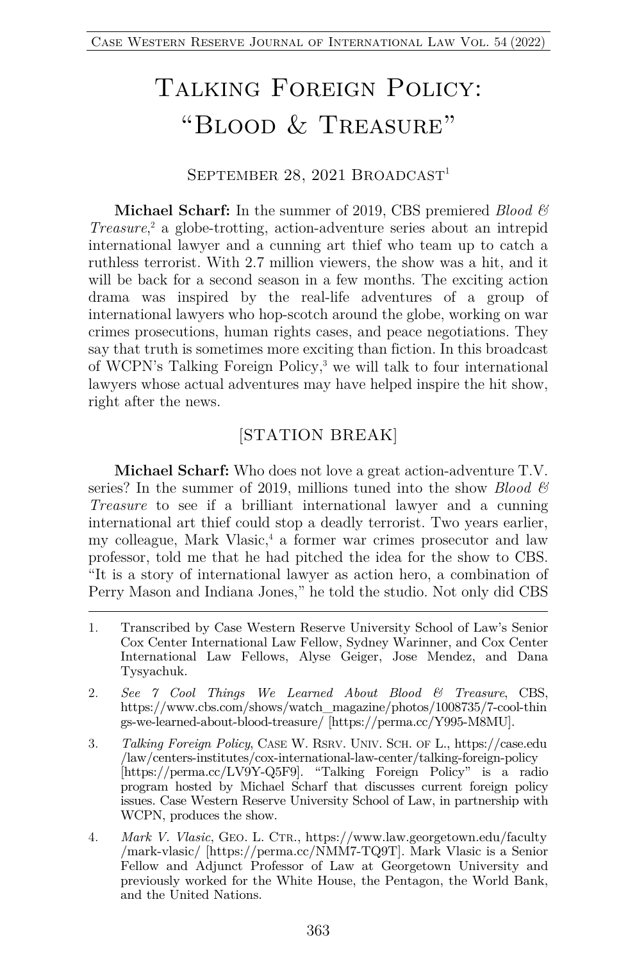# Talking Foreign Policy: "Blood & Treasure"

#### SEPTEMBER 28, 2021 BROADCAST<sup>1</sup>

**Michael Scharf:** In the summer of 2019, CBS premiered *Blood & Treasure*, <sup>2</sup> a globe-trotting, action-adventure series about an intrepid international lawyer and a cunning art thief who team up to catch a ruthless terrorist. With 2.7 million viewers, the show was a hit, and it will be back for a second season in a few months. The exciting action drama was inspired by the real-life adventures of a group of international lawyers who hop-scotch around the globe, working on war crimes prosecutions, human rights cases, and peace negotiations. They say that truth is sometimes more exciting than fiction. In this broadcast of WCPN's Talking Foreign Policy,3 we will talk to four international lawyers whose actual adventures may have helped inspire the hit show, right after the news.

### [STATION BREAK]

**Michael Scharf:** Who does not love a great action-adventure T.V. series? In the summer of 2019, millions tuned into the show *Blood & Treasure* to see if a brilliant international lawyer and a cunning international art thief could stop a deadly terrorist. Two years earlier, my colleague, Mark Vlasic, <sup>4</sup> a former war crimes prosecutor and law professor, told me that he had pitched the idea for the show to CBS. "It is a story of international lawyer as action hero, a combination of Perry Mason and Indiana Jones," he told the studio. Not only did CBS

- 1. Transcribed by Case Western Reserve University School of Law's Senior Cox Center International Law Fellow, Sydney Warinner, and Cox Center International Law Fellows, Alyse Geiger, Jose Mendez, and Dana Tysyachuk.
- 2. *See 7 Cool Things We Learned About Blood & Treasure*, CBS, https://www.cbs.com/shows/watch\_magazine/photos/1008735/7-cool-thin gs-we-learned-about-blood-treasure/ [https://perma.cc/Y995-M8MU].
- 3. *Talking Foreign Policy*, CASE W. RSRV. UNIV. SCH. OF L., https://case.edu /law/centers-institutes/cox-international-law-center/talking-foreign-policy [https://perma.cc/LV9Y-Q5F9]. "Talking Foreign Policy" is a radio program hosted by Michael Scharf that discusses current foreign policy issues. Case Western Reserve University School of Law, in partnership with WCPN, produces the show.
- 4. *Mark V. Vlasic*, GEO. L. CTR., https://www.law.georgetown.edu/faculty /mark-vlasic/ [https://perma.cc/NMM7-TQ9T]. Mark Vlasic is a Senior Fellow and Adjunct Professor of Law at Georgetown University and previously worked for the White House, the Pentagon, the World Bank, and the United Nations.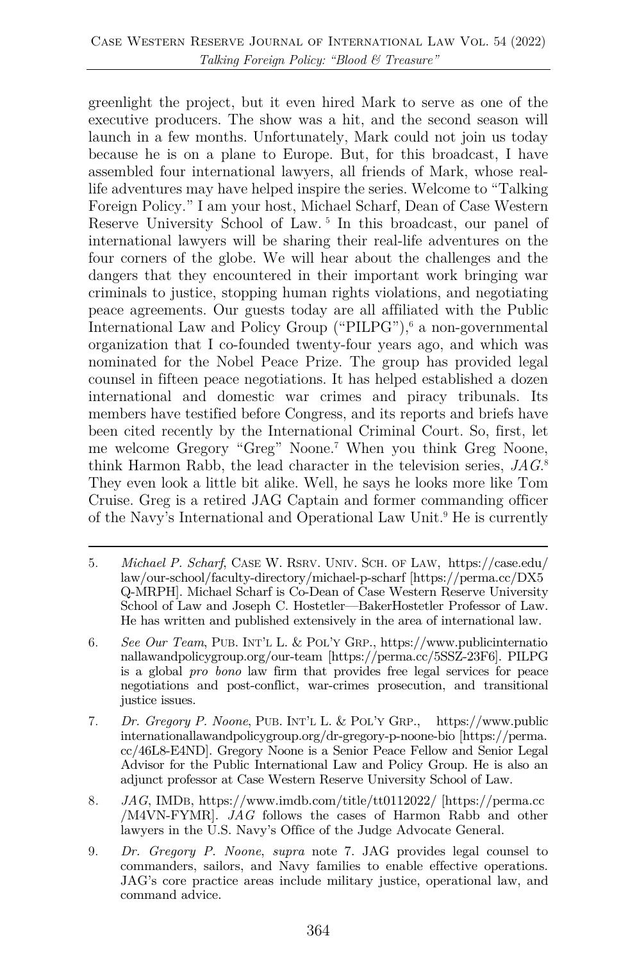greenlight the project, but it even hired Mark to serve as one of the executive producers. The show was a hit, and the second season will launch in a few months. Unfortunately, Mark could not join us today because he is on a plane to Europe. But, for this broadcast, I have assembled four international lawyers, all friends of Mark, whose reallife adventures may have helped inspire the series. Welcome to "Talking Foreign Policy." I am your host, Michael Scharf, Dean of Case Western Reserve University School of Law. <sup>5</sup> In this broadcast, our panel of international lawyers will be sharing their real-life adventures on the four corners of the globe. We will hear about the challenges and the dangers that they encountered in their important work bringing war criminals to justice, stopping human rights violations, and negotiating peace agreements. Our guests today are all affiliated with the Public International Law and Policy Group ("PILPG"),<sup>6</sup> a non-governmental organization that I co-founded twenty-four years ago, and which was nominated for the Nobel Peace Prize. The group has provided legal counsel in fifteen peace negotiations. It has helped established a dozen international and domestic war crimes and piracy tribunals. Its members have testified before Congress, and its reports and briefs have been cited recently by the International Criminal Court. So, first, let me welcome Gregory "Greg" Noone.7 When you think Greg Noone, think Harmon Rabb, the lead character in the television series, *JAG*. 8 They even look a little bit alike. Well, he says he looks more like Tom Cruise. Greg is a retired JAG Captain and former commanding officer of the Navy's International and Operational Law Unit.9 He is currently

- 5. *Michael P. Scharf*, CASE W. RSRV. UNIV. SCH. OF LAW, https://case.edu/ law/our-school/faculty-directory/michael-p-scharf [https://perma.cc/DX5 Q-MRPH]. Michael Scharf is Co-Dean of Case Western Reserve University School of Law and Joseph C. Hostetler—BakerHostetler Professor of Law. He has written and published extensively in the area of international law.
- 6. *See Our Team*, PUB. INT'L L. & POL'Y GRP., https://www.publicinternatio nallawandpolicygroup.org/our-team [https://perma.cc/5SSZ-23F6]. PILPG is a global *pro bono* law firm that provides free legal services for peace negotiations and post-conflict, war-crimes prosecution, and transitional justice issues.
- 7. *Dr. Gregory P. Noone*, PUB. INT'L L. & POL'Y GRP., https://www.public internationallawandpolicygroup.org/dr-gregory-p-noone-bio [https://perma. cc/46L8-E4ND]. Gregory Noone is a Senior Peace Fellow and Senior Legal Advisor for the Public International Law and Policy Group. He is also an adjunct professor at Case Western Reserve University School of Law.
- 8*. JAG*, IMDB, https://www.imdb.com/title/tt0112022/ [https://perma.cc /M4VN-FYMR]. *JAG* follows the cases of Harmon Rabb and other lawyers in the U.S. Navy's Office of the Judge Advocate General.
- 9. *Dr. Gregory P. Noone*, *supra* note 7. JAG provides legal counsel to commanders, sailors, and Navy families to enable effective operations. JAG's core practice areas include military justice, operational law, and command advice.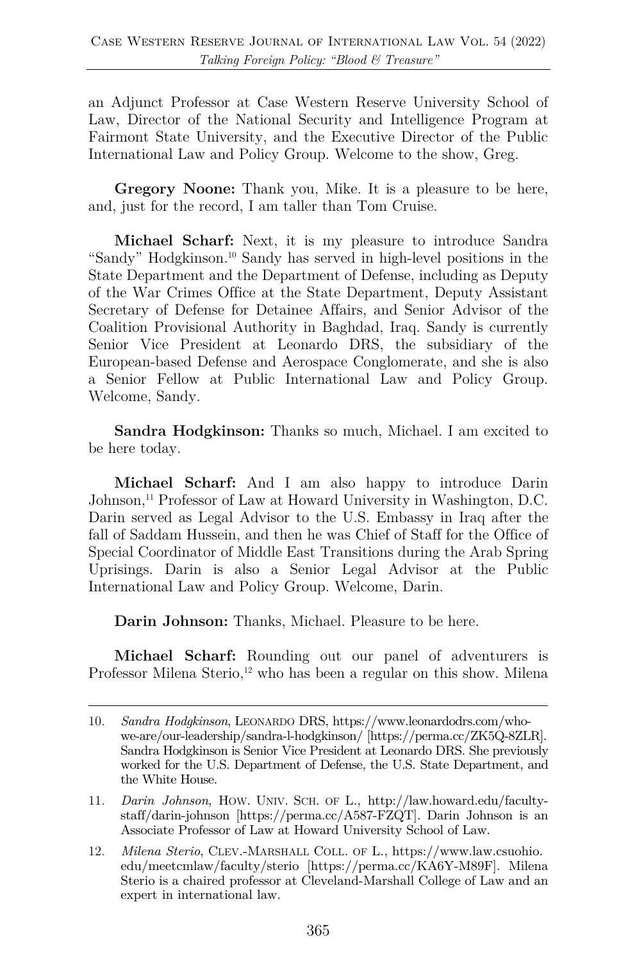an Adjunct Professor at Case Western Reserve University School of Law, Director of the National Security and Intelligence Program at Fairmont State University, and the Executive Director of the Public International Law and Policy Group. Welcome to the show, Greg.

**Gregory Noone:** Thank you, Mike. It is a pleasure to be here, and, just for the record, I am taller than Tom Cruise.

**Michael Scharf:** Next, it is my pleasure to introduce Sandra "Sandy" Hodgkinson.10 Sandy has served in high-level positions in the State Department and the Department of Defense, including as Deputy of the War Crimes Office at the State Department, Deputy Assistant Secretary of Defense for Detainee Affairs, and Senior Advisor of the Coalition Provisional Authority in Baghdad, Iraq. Sandy is currently Senior Vice President at Leonardo DRS, the subsidiary of the European-based Defense and Aerospace Conglomerate, and she is also a Senior Fellow at Public International Law and Policy Group. Welcome, Sandy.

**Sandra Hodgkinson:** Thanks so much, Michael. I am excited to be here today.

**Michael Scharf:** And I am also happy to introduce Darin Johnson,<sup>11</sup> Professor of Law at Howard University in Washington, D.C. Darin served as Legal Advisor to the U.S. Embassy in Iraq after the fall of Saddam Hussein, and then he was Chief of Staff for the Office of Special Coordinator of Middle East Transitions during the Arab Spring Uprisings. Darin is also a Senior Legal Advisor at the Public International Law and Policy Group. Welcome, Darin.

**Darin Johnson:** Thanks, Michael. Pleasure to be here.

**Michael Scharf:** Rounding out our panel of adventurers is Professor Milena Sterio,<sup>12</sup> who has been a regular on this show. Milena

<sup>10.</sup> *Sandra Hodgkinson*, LEONARDO DRS, https://www.leonardodrs.com/whowe-are/our-leadership/sandra-l-hodgkinson/ [https://perma.cc/ZK5Q-8ZLR]. Sandra Hodgkinson is Senior Vice President at Leonardo DRS. She previously worked for the U.S. Department of Defense, the U.S. State Department, and the White House.

<sup>11.</sup> *Darin Johnson*, HOW. UNIV. SCH. OF L*.*, http://law.howard.edu/facultystaff/darin-johnson [https://perma.cc/A587-FZQT]. Darin Johnson is an Associate Professor of Law at Howard University School of Law.

<sup>12.</sup> *Milena Sterio*, CLEV.-MARSHALL COLL. OF L., https://www.law.csuohio. edu/meetcmlaw/faculty/sterio [https://perma.cc/KA6Y-M89F]. Milena Sterio is a chaired professor at Cleveland-Marshall College of Law and an expert in international law.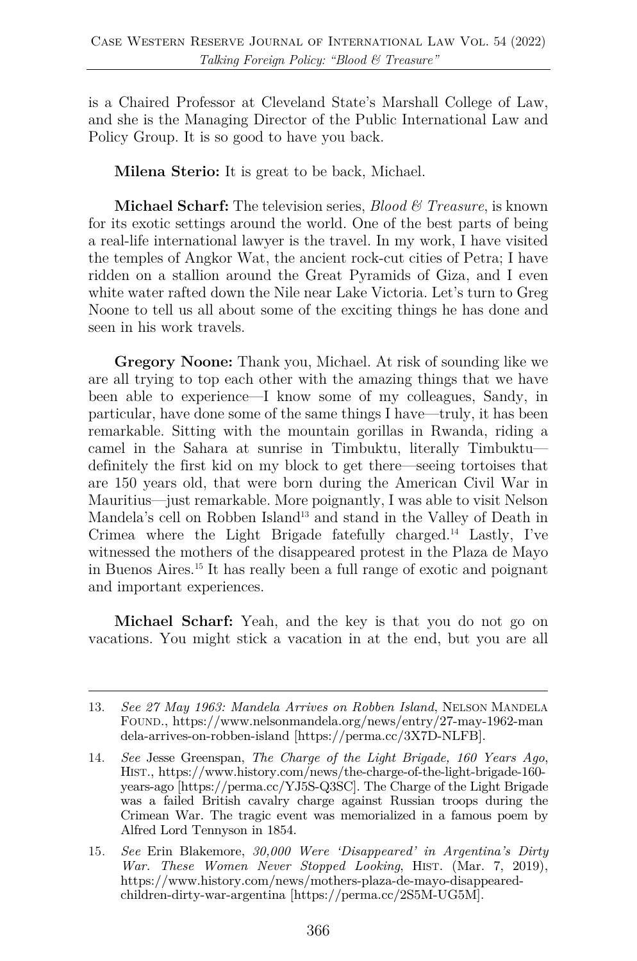is a Chaired Professor at Cleveland State's Marshall College of Law, and she is the Managing Director of the Public International Law and Policy Group. It is so good to have you back.

**Milena Sterio:** It is great to be back, Michael.

**Michael Scharf:** The television series, *Blood & Treasure*, is known for its exotic settings around the world. One of the best parts of being a real-life international lawyer is the travel. In my work, I have visited the temples of Angkor Wat, the ancient rock-cut cities of Petra; I have ridden on a stallion around the Great Pyramids of Giza, and I even white water rafted down the Nile near Lake Victoria. Let's turn to Greg Noone to tell us all about some of the exciting things he has done and seen in his work travels.

**Gregory Noone:** Thank you, Michael. At risk of sounding like we are all trying to top each other with the amazing things that we have been able to experience—I know some of my colleagues, Sandy, in particular, have done some of the same things I have—truly, it has been remarkable. Sitting with the mountain gorillas in Rwanda, riding a camel in the Sahara at sunrise in Timbuktu, literally Timbuktu definitely the first kid on my block to get there—seeing tortoises that are 150 years old, that were born during the American Civil War in Mauritius—just remarkable. More poignantly, I was able to visit Nelson Mandela's cell on Robben Island<sup>13</sup> and stand in the Valley of Death in Crimea where the Light Brigade fatefully charged.14 Lastly, I've witnessed the mothers of the disappeared protest in the Plaza de Mayo in Buenos Aires.15 It has really been a full range of exotic and poignant and important experiences.

**Michael Scharf:** Yeah, and the key is that you do not go on vacations. You might stick a vacation in at the end, but you are all

<sup>13.</sup> *See 27 May 1963: Mandela Arrives on Robben Island*, NELSON MANDELA FOUND., https://www.nelsonmandela.org/news/entry/27-may-1962-man dela-arrives-on-robben-island [https://perma.cc/3X7D-NLFB].

<sup>14.</sup> *See* Jesse Greenspan, *The Charge of the Light Brigade, 160 Years Ago*, HIST., https://www.history.com/news/the-charge-of-the-light-brigade-160 years-ago [https://perma.cc/YJ5S-Q3SC]. The Charge of the Light Brigade was a failed British cavalry charge against Russian troops during the Crimean War. The tragic event was memorialized in a famous poem by Alfred Lord Tennyson in 1854.

<sup>15</sup>*. See* Erin Blakemore, *30,000 Were 'Disappeared' in Argentina's Dirty War. These Women Never Stopped Looking*, HIST. (Mar. 7, 2019), https://www.history.com/news/mothers-plaza-de-mayo-disappearedchildren-dirty-war-argentina [https://perma.cc/2S5M-UG5M].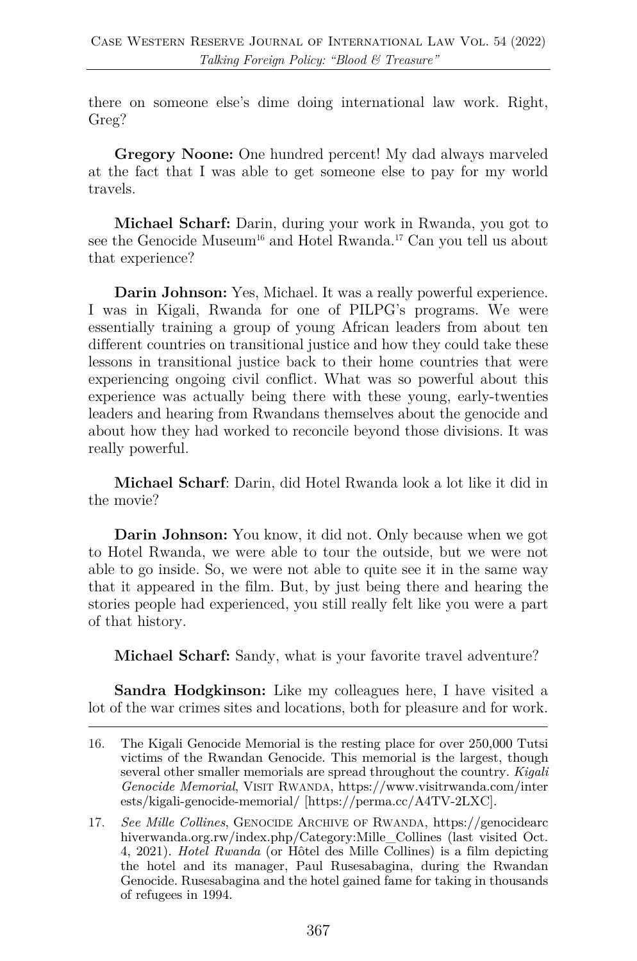there on someone else's dime doing international law work. Right, Greg?

**Gregory Noone:** One hundred percent! My dad always marveled at the fact that I was able to get someone else to pay for my world travels.

**Michael Scharf:** Darin, during your work in Rwanda, you got to see the Genocide Museum<sup>16</sup> and Hotel Rwanda.<sup>17</sup> Can you tell us about that experience?

**Darin Johnson:** Yes, Michael. It was a really powerful experience. I was in Kigali, Rwanda for one of PILPG's programs. We were essentially training a group of young African leaders from about ten different countries on transitional justice and how they could take these lessons in transitional justice back to their home countries that were experiencing ongoing civil conflict. What was so powerful about this experience was actually being there with these young, early-twenties leaders and hearing from Rwandans themselves about the genocide and about how they had worked to reconcile beyond those divisions. It was really powerful.

**Michael Scharf**: Darin, did Hotel Rwanda look a lot like it did in the movie?

**Darin Johnson:** You know, it did not. Only because when we got to Hotel Rwanda, we were able to tour the outside, but we were not able to go inside. So, we were not able to quite see it in the same way that it appeared in the film. But, by just being there and hearing the stories people had experienced, you still really felt like you were a part of that history.

**Michael Scharf:** Sandy, what is your favorite travel adventure?

**Sandra Hodgkinson:** Like my colleagues here, I have visited a lot of the war crimes sites and locations, both for pleasure and for work.

<sup>16.</sup> The Kigali Genocide Memorial is the resting place for over 250,000 Tutsi victims of the Rwandan Genocide. This memorial is the largest, though several other smaller memorials are spread throughout the country. *Kigali Genocide Memorial*, VISIT RWANDA, https://www.visitrwanda.com/inter ests/kigali-genocide-memorial/ [https://perma.cc/A4TV-2LXC].

<sup>17.</sup> *See Mille Collines*, GENOCIDE ARCHIVE OF RWANDA, https://genocidearc hiverwanda.org.rw/index.php/Category:Mille\_Collines (last visited Oct. 4, 2021). *Hotel Rwanda* (or Hôtel des Mille Collines) is a film depicting the hotel and its manager, Paul Rusesabagina, during the Rwandan Genocide. Rusesabagina and the hotel gained fame for taking in thousands of refugees in 1994.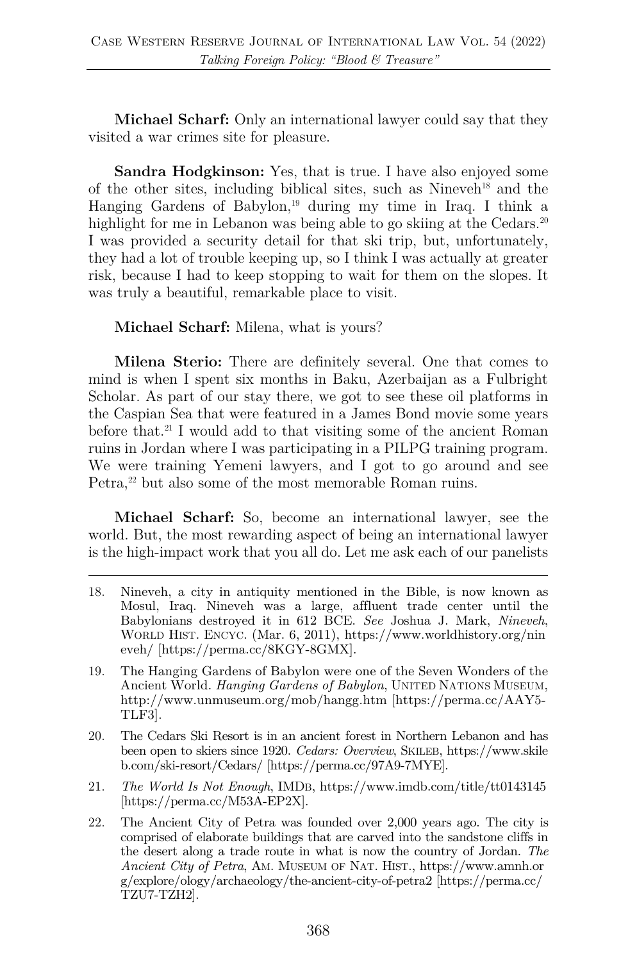**Michael Scharf:** Only an international lawyer could say that they visited a war crimes site for pleasure.

**Sandra Hodgkinson:** Yes, that is true. I have also enjoyed some of the other sites, including biblical sites, such as Nineveh<sup>18</sup> and the Hanging Gardens of Babylon,<sup>19</sup> during my time in Iraq. I think a highlight for me in Lebanon was being able to go skiing at the Cedars.<sup>20</sup> I was provided a security detail for that ski trip, but, unfortunately, they had a lot of trouble keeping up, so I think I was actually at greater risk, because I had to keep stopping to wait for them on the slopes. It was truly a beautiful, remarkable place to visit.

**Michael Scharf:** Milena, what is yours?

**Milena Sterio:** There are definitely several. One that comes to mind is when I spent six months in Baku, Azerbaijan as a Fulbright Scholar. As part of our stay there, we got to see these oil platforms in the Caspian Sea that were featured in a James Bond movie some years before that.<sup>21</sup> I would add to that visiting some of the ancient Roman ruins in Jordan where I was participating in a PILPG training program. We were training Yemeni lawyers, and I got to go around and see Petra,<sup>22</sup> but also some of the most memorable Roman ruins.

**Michael Scharf:** So, become an international lawyer, see the world. But, the most rewarding aspect of being an international lawyer is the high-impact work that you all do. Let me ask each of our panelists

- 18. Nineveh, a city in antiquity mentioned in the Bible, is now known as Mosul, Iraq. Nineveh was a large, affluent trade center until the Babylonians destroyed it in 612 BCE. *See* Joshua J. Mark, *Nineveh*, WORLD HIST. ENCYC. (Mar. 6, 2011), https://www.worldhistory.org/nin eveh/ [https://perma.cc/8KGY-8GMX].
- 19. The Hanging Gardens of Babylon were one of the Seven Wonders of the Ancient World. *Hanging Gardens of Babylon*, UNITED NATIONS MUSEUM, http://www.unmuseum.org/mob/hangg.htm [https://perma.cc/AAY5- TLF3].
- 20. The Cedars Ski Resort is in an ancient forest in Northern Lebanon and has been open to skiers since 1920. *Cedars: Overview*, SKILEB, https://www.skile b.com/ski-resort/Cedars/ [https://perma.cc/97A9-7MYE].
- 21. *The World Is Not Enough*, IMDB, https://www.imdb.com/title/tt0143145 [https://perma.cc/M53A-EP2X].
- 22. The Ancient City of Petra was founded over 2,000 years ago. The city is comprised of elaborate buildings that are carved into the sandstone cliffs in the desert along a trade route in what is now the country of Jordan. *The Ancient City of Petra*, AM. MUSEUM OF NAT. HIST., https://www.amnh.or g/explore/ology/archaeology/the-ancient-city-of-petra2 [https://perma.cc/ TZU7-TZH2].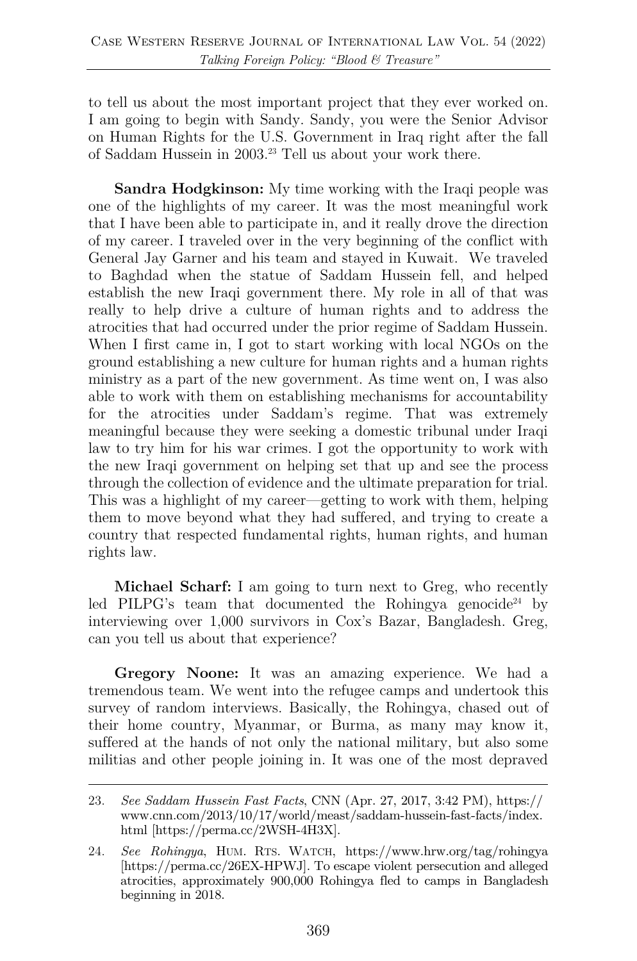to tell us about the most important project that they ever worked on. I am going to begin with Sandy. Sandy, you were the Senior Advisor on Human Rights for the U.S. Government in Iraq right after the fall of Saddam Hussein in 2003.23 Tell us about your work there.

**Sandra Hodgkinson:** My time working with the Iraqi people was one of the highlights of my career. It was the most meaningful work that I have been able to participate in, and it really drove the direction of my career. I traveled over in the very beginning of the conflict with General Jay Garner and his team and stayed in Kuwait. We traveled to Baghdad when the statue of Saddam Hussein fell, and helped establish the new Iraqi government there. My role in all of that was really to help drive a culture of human rights and to address the atrocities that had occurred under the prior regime of Saddam Hussein. When I first came in, I got to start working with local NGOs on the ground establishing a new culture for human rights and a human rights ministry as a part of the new government. As time went on, I was also able to work with them on establishing mechanisms for accountability for the atrocities under Saddam's regime. That was extremely meaningful because they were seeking a domestic tribunal under Iraqi law to try him for his war crimes. I got the opportunity to work with the new Iraqi government on helping set that up and see the process through the collection of evidence and the ultimate preparation for trial. This was a highlight of my career—getting to work with them, helping them to move beyond what they had suffered, and trying to create a country that respected fundamental rights, human rights, and human rights law.

**Michael Scharf:** I am going to turn next to Greg, who recently led PILPG's team that documented the Rohingya genocide<sup>24</sup> by interviewing over 1,000 survivors in Cox's Bazar, Bangladesh. Greg, can you tell us about that experience?

**Gregory Noone:** It was an amazing experience. We had a tremendous team. We went into the refugee camps and undertook this survey of random interviews. Basically, the Rohingya, chased out of their home country, Myanmar, or Burma, as many may know it, suffered at the hands of not only the national military, but also some militias and other people joining in. It was one of the most depraved

<sup>23.</sup> *See Saddam Hussein Fast Facts*, CNN (Apr. 27, 2017, 3:42 PM), https:// www.cnn.com/2013/10/17/world/meast/saddam-hussein-fast-facts/index. html [https://perma.cc/2WSH-4H3X].

<sup>24.</sup> *See Rohingya*, HUM. RTS. WATCH, https://www.hrw.org/tag/rohingya [https://perma.cc/26EX-HPWJ]. To escape violent persecution and alleged atrocities, approximately 900,000 Rohingya fled to camps in Bangladesh beginning in 2018.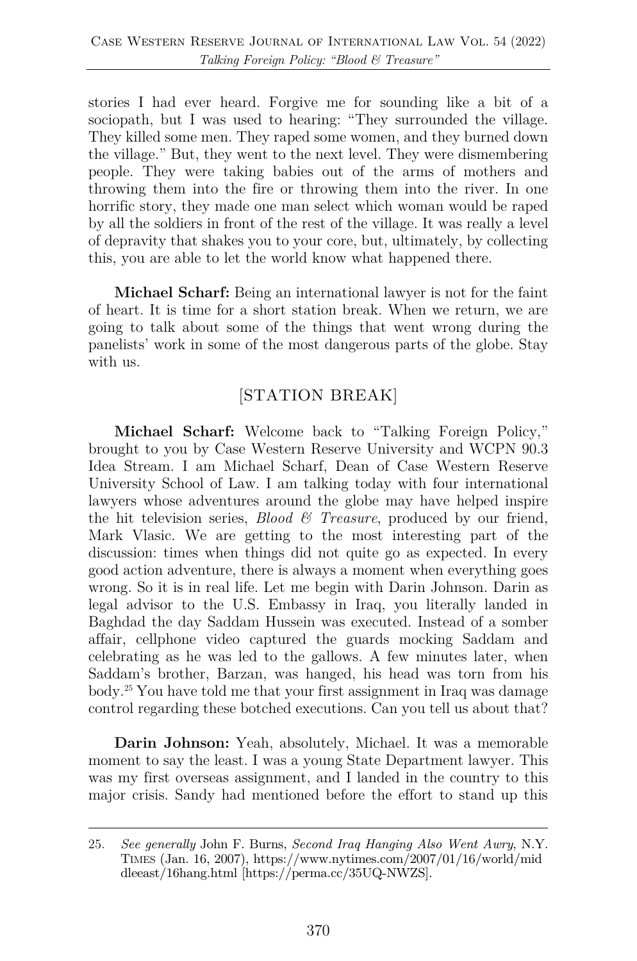stories I had ever heard. Forgive me for sounding like a bit of a sociopath, but I was used to hearing: "They surrounded the village. They killed some men. They raped some women, and they burned down the village." But, they went to the next level. They were dismembering people. They were taking babies out of the arms of mothers and throwing them into the fire or throwing them into the river. In one horrific story, they made one man select which woman would be raped by all the soldiers in front of the rest of the village. It was really a level of depravity that shakes you to your core, but, ultimately, by collecting this, you are able to let the world know what happened there.

**Michael Scharf:** Being an international lawyer is not for the faint of heart. It is time for a short station break. When we return, we are going to talk about some of the things that went wrong during the panelists' work in some of the most dangerous parts of the globe. Stay with us.

## [STATION BREAK]

**Michael Scharf:** Welcome back to "Talking Foreign Policy," brought to you by Case Western Reserve University and WCPN 90.3 Idea Stream. I am Michael Scharf, Dean of Case Western Reserve University School of Law. I am talking today with four international lawyers whose adventures around the globe may have helped inspire the hit television series, *Blood & Treasure*, produced by our friend, Mark Vlasic. We are getting to the most interesting part of the discussion: times when things did not quite go as expected. In every good action adventure, there is always a moment when everything goes wrong. So it is in real life. Let me begin with Darin Johnson. Darin as legal advisor to the U.S. Embassy in Iraq, you literally landed in Baghdad the day Saddam Hussein was executed. Instead of a somber affair, cellphone video captured the guards mocking Saddam and celebrating as he was led to the gallows. A few minutes later, when Saddam's brother, Barzan, was hanged, his head was torn from his body.25 You have told me that your first assignment in Iraq was damage control regarding these botched executions. Can you tell us about that?

**Darin Johnson:** Yeah, absolutely, Michael. It was a memorable moment to say the least. I was a young State Department lawyer. This was my first overseas assignment, and I landed in the country to this major crisis. Sandy had mentioned before the effort to stand up this

<sup>25.</sup> *See generally* John F. Burns, *Second Iraq Hanging Also Went Awry*, N.Y. TIMES (Jan. 16, 2007), https://www.nytimes.com/2007/01/16/world/mid dleeast/16hang.html [https://perma.cc/35UQ-NWZS].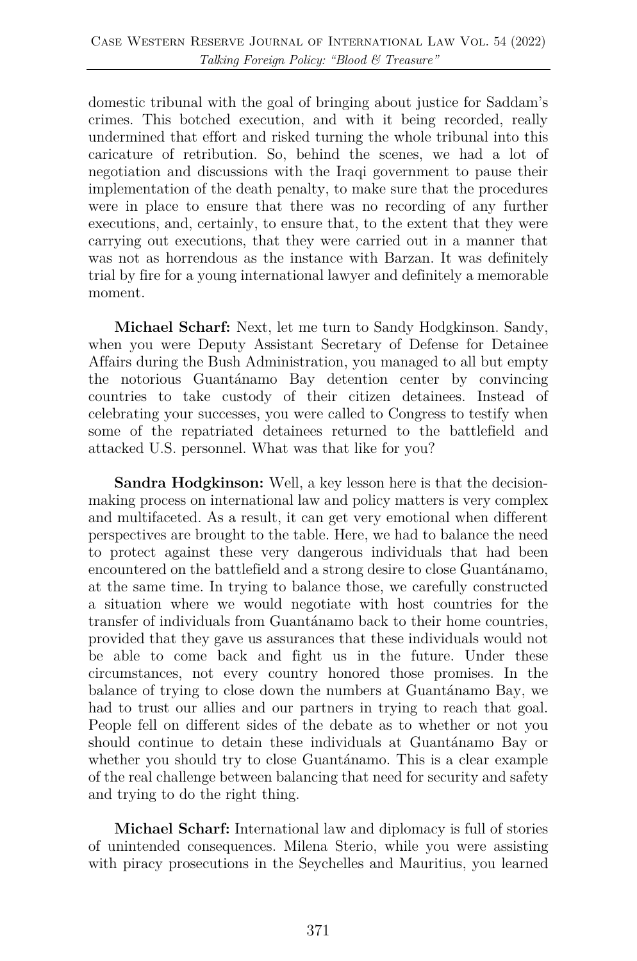domestic tribunal with the goal of bringing about justice for Saddam's crimes. This botched execution, and with it being recorded, really undermined that effort and risked turning the whole tribunal into this caricature of retribution. So, behind the scenes, we had a lot of negotiation and discussions with the Iraqi government to pause their implementation of the death penalty, to make sure that the procedures were in place to ensure that there was no recording of any further executions, and, certainly, to ensure that, to the extent that they were carrying out executions, that they were carried out in a manner that was not as horrendous as the instance with Barzan. It was definitely trial by fire for a young international lawyer and definitely a memorable moment.

**Michael Scharf:** Next, let me turn to Sandy Hodgkinson. Sandy, when you were Deputy Assistant Secretary of Defense for Detainee Affairs during the Bush Administration, you managed to all but empty the notorious Guantánamo Bay detention center by convincing countries to take custody of their citizen detainees. Instead of celebrating your successes, you were called to Congress to testify when some of the repatriated detainees returned to the battlefield and attacked U.S. personnel. What was that like for you?

**Sandra Hodgkinson:** Well, a key lesson here is that the decisionmaking process on international law and policy matters is very complex and multifaceted. As a result, it can get very emotional when different perspectives are brought to the table. Here, we had to balance the need to protect against these very dangerous individuals that had been encountered on the battlefield and a strong desire to close Guantánamo, at the same time. In trying to balance those, we carefully constructed a situation where we would negotiate with host countries for the transfer of individuals from Guantánamo back to their home countries, provided that they gave us assurances that these individuals would not be able to come back and fight us in the future. Under these circumstances, not every country honored those promises. In the balance of trying to close down the numbers at Guantánamo Bay, we had to trust our allies and our partners in trying to reach that goal. People fell on different sides of the debate as to whether or not you should continue to detain these individuals at Guantánamo Bay or whether you should try to close Guantánamo. This is a clear example of the real challenge between balancing that need for security and safety and trying to do the right thing.

**Michael Scharf:** International law and diplomacy is full of stories of unintended consequences. Milena Sterio, while you were assisting with piracy prosecutions in the Seychelles and Mauritius, you learned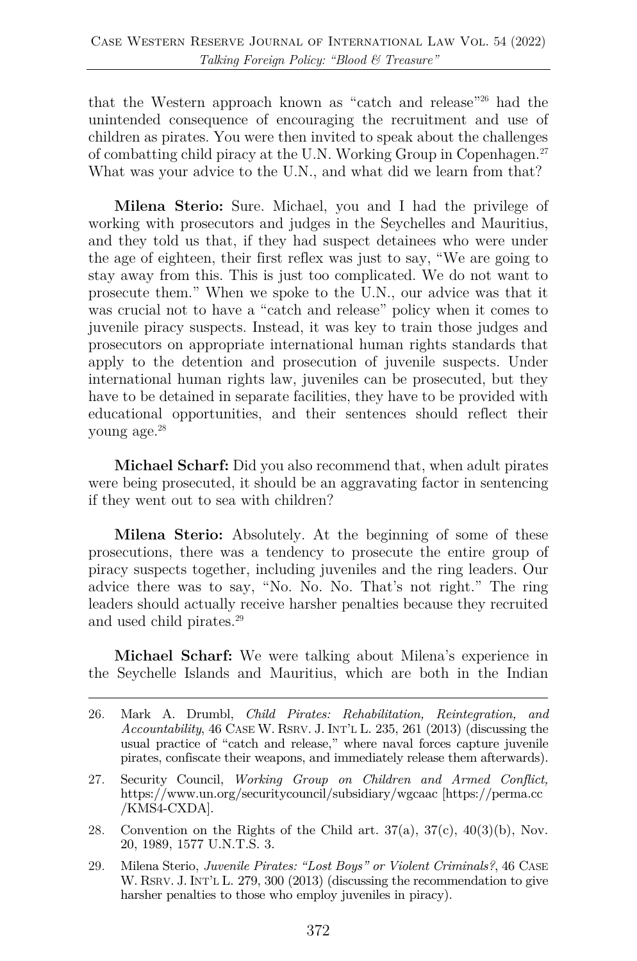that the Western approach known as "catch and release"26 had the unintended consequence of encouraging the recruitment and use of children as pirates. You were then invited to speak about the challenges of combatting child piracy at the U.N. Working Group in Copenhagen.27 What was your advice to the U.N., and what did we learn from that?

**Milena Sterio:** Sure. Michael, you and I had the privilege of working with prosecutors and judges in the Seychelles and Mauritius, and they told us that, if they had suspect detainees who were under the age of eighteen, their first reflex was just to say, "We are going to stay away from this. This is just too complicated. We do not want to prosecute them." When we spoke to the U.N., our advice was that it was crucial not to have a "catch and release" policy when it comes to juvenile piracy suspects. Instead, it was key to train those judges and prosecutors on appropriate international human rights standards that apply to the detention and prosecution of juvenile suspects. Under international human rights law, juveniles can be prosecuted, but they have to be detained in separate facilities, they have to be provided with educational opportunities, and their sentences should reflect their young age.28

**Michael Scharf:** Did you also recommend that, when adult pirates were being prosecuted, it should be an aggravating factor in sentencing if they went out to sea with children?

**Milena Sterio:** Absolutely. At the beginning of some of these prosecutions, there was a tendency to prosecute the entire group of piracy suspects together, including juveniles and the ring leaders. Our advice there was to say, "No. No. No. That's not right." The ring leaders should actually receive harsher penalties because they recruited and used child pirates.<sup>29</sup>

**Michael Scharf:** We were talking about Milena's experience in the Seychelle Islands and Mauritius, which are both in the Indian

- 27. Security Council, *Working Group on Children and Armed Conflict,*  https://www.un.org/securitycouncil/subsidiary/wgcaac [https://perma.cc /KMS4-CXDA].
- 28. Convention on the Rights of the Child art.  $37(a)$ ,  $37(c)$ ,  $40(3)(b)$ , Nov. 20, 1989, 1577 U.N.T.S. 3.
- 29. Milena Sterio, *Juvenile Pirates: "Lost Boys" or Violent Criminals?*, 46 CASE W. RSRV. J. INT'L L. 279, 300 (2013) (discussing the recommendation to give harsher penalties to those who employ juveniles in piracy).

<sup>26.</sup> Mark A. Drumbl, *Child Pirates: Rehabilitation, Reintegration, and Accountability*, 46 CASE W. RSRV. J. INT'L L. 235, 261 (2013) (discussing the usual practice of "catch and release," where naval forces capture juvenile pirates, confiscate their weapons, and immediately release them afterwards).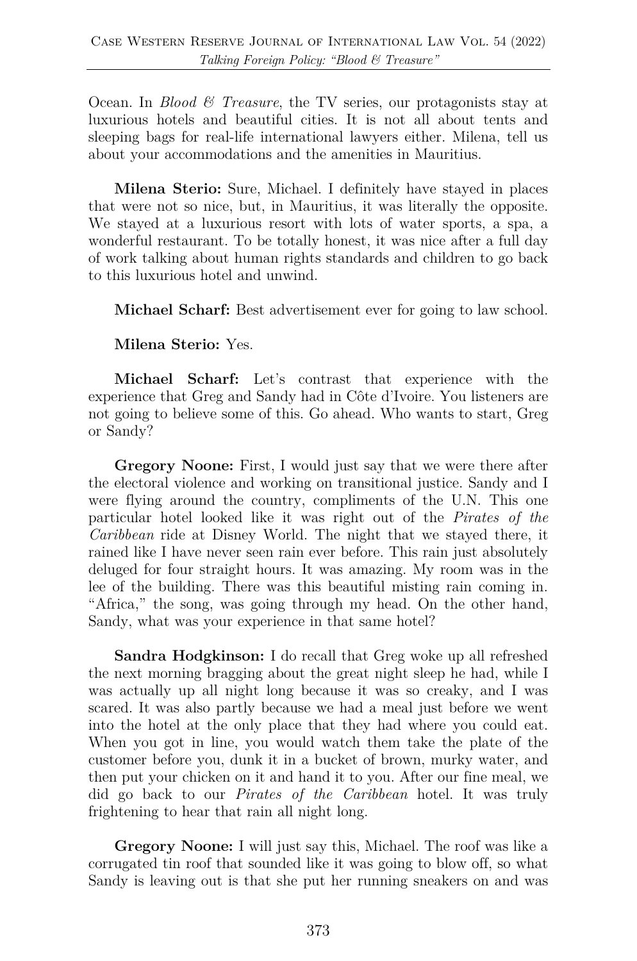Ocean. In *Blood & Treasure*, the TV series, our protagonists stay at luxurious hotels and beautiful cities. It is not all about tents and sleeping bags for real-life international lawyers either. Milena, tell us about your accommodations and the amenities in Mauritius.

**Milena Sterio:** Sure, Michael. I definitely have stayed in places that were not so nice, but, in Mauritius, it was literally the opposite. We stayed at a luxurious resort with lots of water sports, a spa, a wonderful restaurant. To be totally honest, it was nice after a full day of work talking about human rights standards and children to go back to this luxurious hotel and unwind.

**Michael Scharf:** Best advertisement ever for going to law school.

**Milena Sterio:** Yes.

**Michael Scharf:** Let's contrast that experience with the experience that Greg and Sandy had in Côte d'Ivoire. You listeners are not going to believe some of this. Go ahead. Who wants to start, Greg or Sandy?

**Gregory Noone:** First, I would just say that we were there after the electoral violence and working on transitional justice. Sandy and I were flying around the country, compliments of the U.N. This one particular hotel looked like it was right out of the *Pirates of the Caribbean* ride at Disney World. The night that we stayed there, it rained like I have never seen rain ever before. This rain just absolutely deluged for four straight hours. It was amazing. My room was in the lee of the building. There was this beautiful misting rain coming in. "Africa," the song, was going through my head. On the other hand, Sandy, what was your experience in that same hotel?

**Sandra Hodgkinson:** I do recall that Greg woke up all refreshed the next morning bragging about the great night sleep he had, while I was actually up all night long because it was so creaky, and I was scared. It was also partly because we had a meal just before we went into the hotel at the only place that they had where you could eat. When you got in line, you would watch them take the plate of the customer before you, dunk it in a bucket of brown, murky water, and then put your chicken on it and hand it to you. After our fine meal, we did go back to our *Pirates of the Caribbean* hotel. It was truly frightening to hear that rain all night long.

**Gregory Noone:** I will just say this, Michael. The roof was like a corrugated tin roof that sounded like it was going to blow off, so what Sandy is leaving out is that she put her running sneakers on and was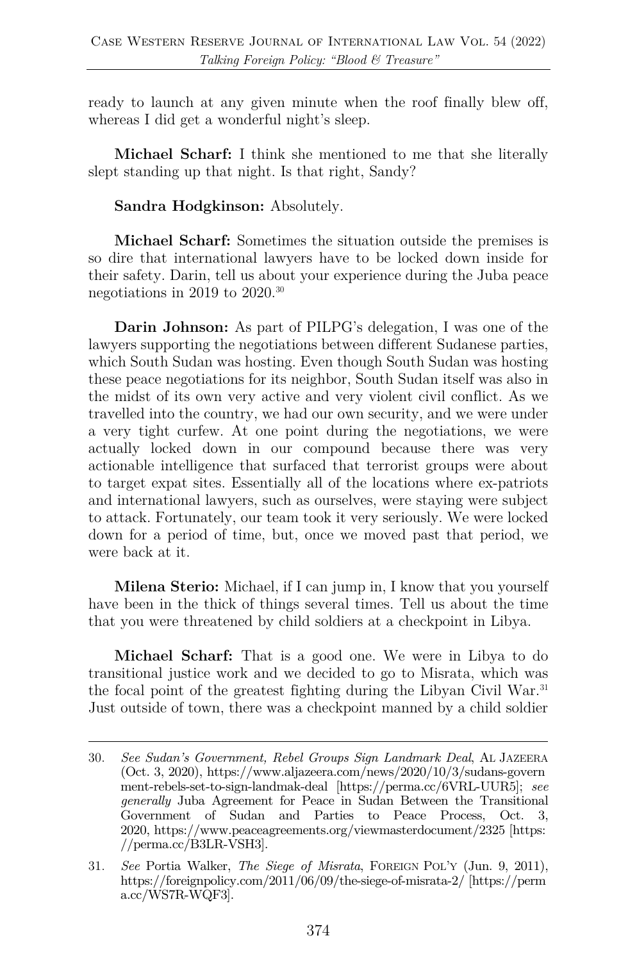ready to launch at any given minute when the roof finally blew off, whereas I did get a wonderful night's sleep.

**Michael Scharf:** I think she mentioned to me that she literally slept standing up that night. Is that right, Sandy?

**Sandra Hodgkinson:** Absolutely.

**Michael Scharf:** Sometimes the situation outside the premises is so dire that international lawyers have to be locked down inside for their safety. Darin, tell us about your experience during the Juba peace negotiations in 2019 to 2020.30

**Darin Johnson:** As part of PILPG's delegation, I was one of the lawyers supporting the negotiations between different Sudanese parties, which South Sudan was hosting. Even though South Sudan was hosting these peace negotiations for its neighbor, South Sudan itself was also in the midst of its own very active and very violent civil conflict. As we travelled into the country, we had our own security, and we were under a very tight curfew. At one point during the negotiations, we were actually locked down in our compound because there was very actionable intelligence that surfaced that terrorist groups were about to target expat sites. Essentially all of the locations where ex-patriots and international lawyers, such as ourselves, were staying were subject to attack. Fortunately, our team took it very seriously. We were locked down for a period of time, but, once we moved past that period, we were back at it.

**Milena Sterio:** Michael, if I can jump in, I know that you yourself have been in the thick of things several times. Tell us about the time that you were threatened by child soldiers at a checkpoint in Libya.

**Michael Scharf:** That is a good one. We were in Libya to do transitional justice work and we decided to go to Misrata, which was the focal point of the greatest fighting during the Libyan Civil War.<sup>31</sup> Just outside of town, there was a checkpoint manned by a child soldier

<sup>30.</sup> *See Sudan's Government, Rebel Groups Sign Landmark Deal*, AL JAZEERA (Oct. 3, 2020), https://www.aljazeera.com/news/2020/10/3/sudans-govern ment-rebels-set-to-sign-landmak-deal [https://perma.cc/6VRL-UUR5]; *see generally* Juba Agreement for Peace in Sudan Between the Transitional Government of Sudan and Parties to Peace Process, Oct. 3, 2020, https://www.peaceagreements.org/viewmasterdocument/2325 [https: //perma.cc/B3LR-VSH3].

<sup>31.</sup> *See* Portia Walker, *The Siege of Misrata*, FOREIGN POL'Y (Jun. 9, 2011), https://foreignpolicy.com/2011/06/09/the-siege-of-misrata-2/ [https://perm a.cc/WS7R-WQF3].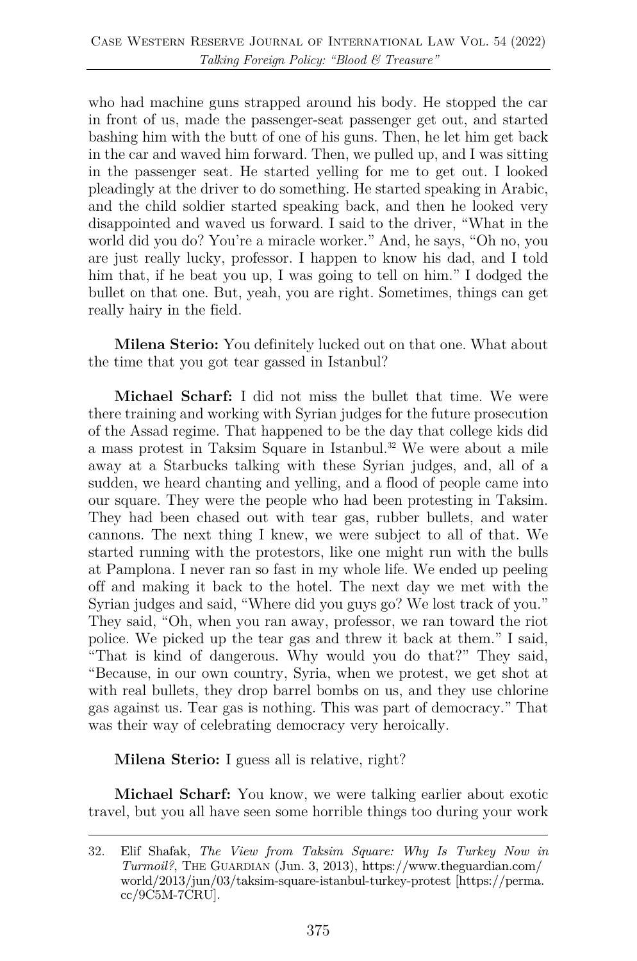who had machine guns strapped around his body. He stopped the car in front of us, made the passenger-seat passenger get out, and started bashing him with the butt of one of his guns. Then, he let him get back in the car and waved him forward. Then, we pulled up, and I was sitting in the passenger seat. He started yelling for me to get out. I looked pleadingly at the driver to do something. He started speaking in Arabic, and the child soldier started speaking back, and then he looked very disappointed and waved us forward. I said to the driver, "What in the world did you do? You're a miracle worker." And, he says, "Oh no, you are just really lucky, professor. I happen to know his dad, and I told him that, if he beat you up, I was going to tell on him." I dodged the bullet on that one. But, yeah, you are right. Sometimes, things can get really hairy in the field.

**Milena Sterio:** You definitely lucked out on that one. What about the time that you got tear gassed in Istanbul?

**Michael Scharf:** I did not miss the bullet that time. We were there training and working with Syrian judges for the future prosecution of the Assad regime. That happened to be the day that college kids did a mass protest in Taksim Square in Istanbul.<sup>32</sup> We were about a mile away at a Starbucks talking with these Syrian judges, and, all of a sudden, we heard chanting and yelling, and a flood of people came into our square. They were the people who had been protesting in Taksim. They had been chased out with tear gas, rubber bullets, and water cannons. The next thing I knew, we were subject to all of that. We started running with the protestors, like one might run with the bulls at Pamplona. I never ran so fast in my whole life. We ended up peeling off and making it back to the hotel. The next day we met with the Syrian judges and said, "Where did you guys go? We lost track of you." They said, "Oh, when you ran away, professor, we ran toward the riot police. We picked up the tear gas and threw it back at them." I said, "That is kind of dangerous. Why would you do that?" They said, "Because, in our own country, Syria, when we protest, we get shot at with real bullets, they drop barrel bombs on us, and they use chlorine gas against us. Tear gas is nothing. This was part of democracy." That was their way of celebrating democracy very heroically.

**Milena Sterio:** I guess all is relative, right?

**Michael Scharf:** You know, we were talking earlier about exotic travel, but you all have seen some horrible things too during your work

<sup>32.</sup> Elif Shafak, *The View from Taksim Square: Why Is Turkey Now in Turmoil?*, THE GUARDIAN (Jun. 3, 2013), https://www.theguardian.com/ world/2013/jun/03/taksim-square-istanbul-turkey-protest [https://perma. cc/9C5M-7CRU].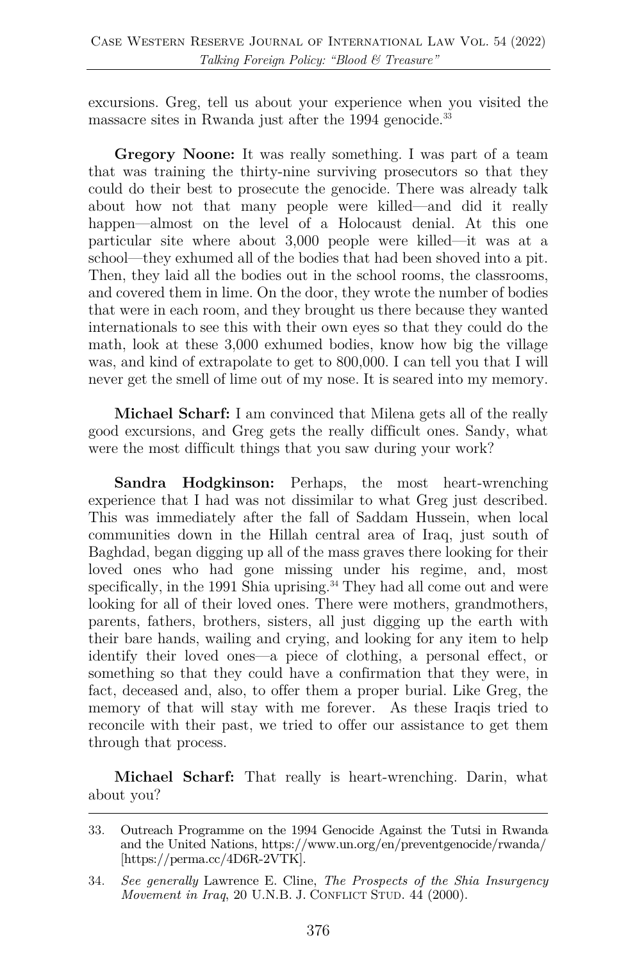excursions. Greg, tell us about your experience when you visited the massacre sites in Rwanda just after the 1994 genocide.<sup>33</sup>

**Gregory Noone:** It was really something. I was part of a team that was training the thirty-nine surviving prosecutors so that they could do their best to prosecute the genocide. There was already talk about how not that many people were killed—and did it really happen—almost on the level of a Holocaust denial. At this one particular site where about 3,000 people were killed—it was at a school—they exhumed all of the bodies that had been shoved into a pit. Then, they laid all the bodies out in the school rooms, the classrooms, and covered them in lime. On the door, they wrote the number of bodies that were in each room, and they brought us there because they wanted internationals to see this with their own eyes so that they could do the math, look at these 3,000 exhumed bodies, know how big the village was, and kind of extrapolate to get to 800,000. I can tell you that I will never get the smell of lime out of my nose. It is seared into my memory.

**Michael Scharf:** I am convinced that Milena gets all of the really good excursions, and Greg gets the really difficult ones. Sandy, what were the most difficult things that you saw during your work?

**Sandra Hodgkinson:** Perhaps, the most heart-wrenching experience that I had was not dissimilar to what Greg just described. This was immediately after the fall of Saddam Hussein, when local communities down in the Hillah central area of Iraq, just south of Baghdad, began digging up all of the mass graves there looking for their loved ones who had gone missing under his regime, and, most specifically, in the 1991 Shia uprising.<sup>34</sup> They had all come out and were looking for all of their loved ones. There were mothers, grandmothers, parents, fathers, brothers, sisters, all just digging up the earth with their bare hands, wailing and crying, and looking for any item to help identify their loved ones—a piece of clothing, a personal effect, or something so that they could have a confirmation that they were, in fact, deceased and, also, to offer them a proper burial. Like Greg, the memory of that will stay with me forever. As these Iraqis tried to reconcile with their past, we tried to offer our assistance to get them through that process.

**Michael Scharf:** That really is heart-wrenching. Darin, what about you?

<sup>33.</sup> Outreach Programme on the 1994 Genocide Against the Tutsi in Rwanda and the United Nations, https://www.un.org/en/preventgenocide/rwanda/ [https://perma.cc/4D6R-2VTK].

<sup>34.</sup> *See generally* Lawrence E. Cline, *The Prospects of the Shia Insurgency Movement in Iraq*, 20 U.N.B. J. CONFLICT STUD. 44 (2000).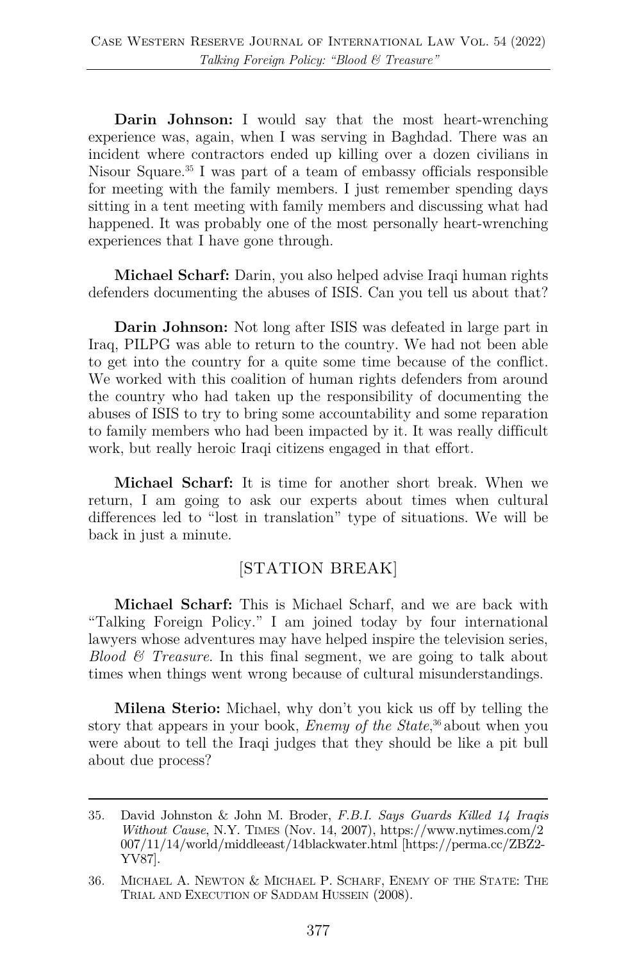**Darin Johnson:** I would say that the most heart-wrenching experience was, again, when I was serving in Baghdad. There was an incident where contractors ended up killing over a dozen civilians in Nisour Square.35 I was part of a team of embassy officials responsible for meeting with the family members. I just remember spending days sitting in a tent meeting with family members and discussing what had happened. It was probably one of the most personally heart-wrenching experiences that I have gone through.

**Michael Scharf:** Darin, you also helped advise Iraqi human rights defenders documenting the abuses of ISIS. Can you tell us about that?

**Darin Johnson:** Not long after ISIS was defeated in large part in Iraq, PILPG was able to return to the country. We had not been able to get into the country for a quite some time because of the conflict. We worked with this coalition of human rights defenders from around the country who had taken up the responsibility of documenting the abuses of ISIS to try to bring some accountability and some reparation to family members who had been impacted by it. It was really difficult work, but really heroic Iraqi citizens engaged in that effort.

**Michael Scharf:** It is time for another short break. When we return, I am going to ask our experts about times when cultural differences led to "lost in translation" type of situations. We will be back in just a minute.

### [STATION BREAK]

**Michael Scharf:** This is Michael Scharf, and we are back with "Talking Foreign Policy." I am joined today by four international lawyers whose adventures may have helped inspire the television series, *Blood & Treasure*. In this final segment, we are going to talk about times when things went wrong because of cultural misunderstandings.

**Milena Sterio:** Michael, why don't you kick us off by telling the story that appears in your book, *Enemy of the State*, <sup>36</sup> about when you were about to tell the Iraqi judges that they should be like a pit bull about due process?

<sup>35.</sup> David Johnston & John M. Broder, *F.B.I. Says Guards Killed 14 Iraqis Without Cause*, N.Y. TIMES (Nov. 14, 2007), https://www.nytimes.com/2 007/11/14/world/middleeast/14blackwater.html [https://perma.cc/ZBZ2- YV87].

<sup>36.</sup> MICHAEL A. NEWTON & MICHAEL P. SCHARF, ENEMY OF THE STATE: THE TRIAL AND EXECUTION OF SADDAM HUSSEIN (2008).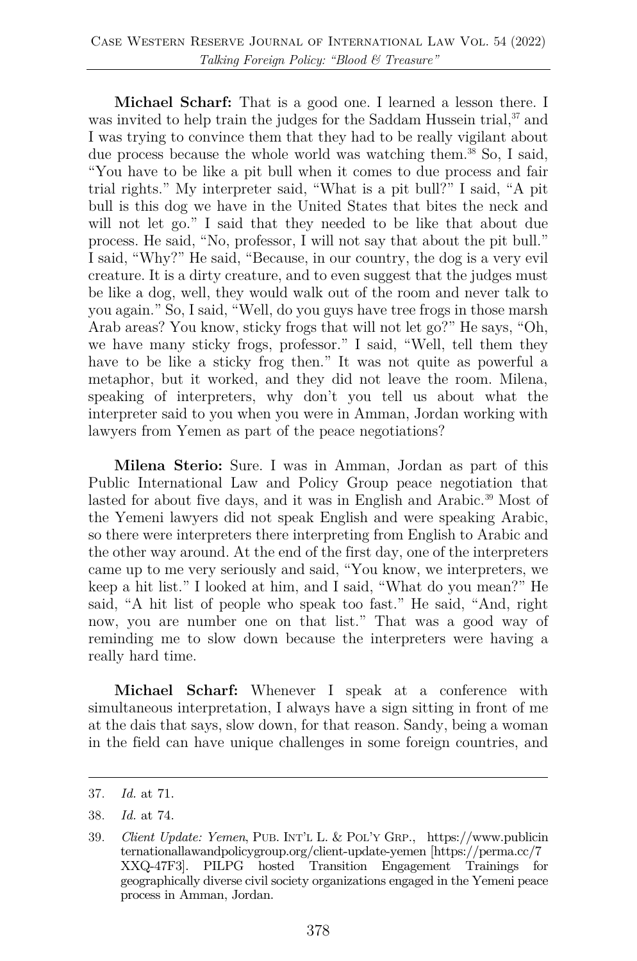**Michael Scharf:** That is a good one. I learned a lesson there. I was invited to help train the judges for the Saddam Hussein trial,  $37$  and I was trying to convince them that they had to be really vigilant about due process because the whole world was watching them.<sup>38</sup> So, I said, "You have to be like a pit bull when it comes to due process and fair trial rights." My interpreter said, "What is a pit bull?" I said, "A pit bull is this dog we have in the United States that bites the neck and will not let go." I said that they needed to be like that about due process. He said, "No, professor, I will not say that about the pit bull." I said, "Why?" He said, "Because, in our country, the dog is a very evil creature. It is a dirty creature, and to even suggest that the judges must be like a dog, well, they would walk out of the room and never talk to you again." So, I said, "Well, do you guys have tree frogs in those marsh Arab areas? You know, sticky frogs that will not let go?" He says, "Oh, we have many sticky frogs, professor." I said, "Well, tell them they have to be like a sticky frog then." It was not quite as powerful a metaphor, but it worked, and they did not leave the room. Milena, speaking of interpreters, why don't you tell us about what the interpreter said to you when you were in Amman, Jordan working with lawyers from Yemen as part of the peace negotiations?

**Milena Sterio:** Sure. I was in Amman, Jordan as part of this Public International Law and Policy Group peace negotiation that lasted for about five days, and it was in English and Arabic.<sup>39</sup> Most of the Yemeni lawyers did not speak English and were speaking Arabic, so there were interpreters there interpreting from English to Arabic and the other way around. At the end of the first day, one of the interpreters came up to me very seriously and said, "You know, we interpreters, we keep a hit list." I looked at him, and I said, "What do you mean?" He said, "A hit list of people who speak too fast." He said, "And, right now, you are number one on that list." That was a good way of reminding me to slow down because the interpreters were having a really hard time.

**Michael Scharf:** Whenever I speak at a conference with simultaneous interpretation, I always have a sign sitting in front of me at the dais that says, slow down, for that reason. Sandy, being a woman in the field can have unique challenges in some foreign countries, and

<sup>37.</sup> *Id.* at 71.

<sup>38.</sup> *Id.* at 74.

<sup>39.</sup> *Client Update: Yemen*, PUB. INT'L L. & POL'Y GRP., https://www.publicin ternationallawandpolicygroup.org/client-update-yemen [https://perma.cc/7 XXQ-47F3]. PILPG hosted Transition Engagement Trainings for geographically diverse civil society organizations engaged in the Yemeni peace process in Amman, Jordan.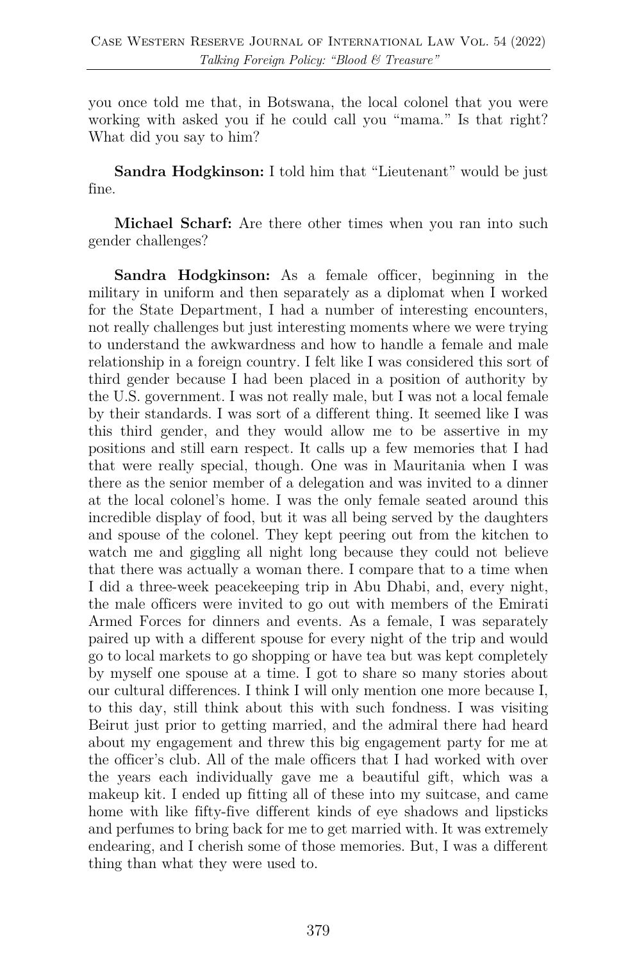you once told me that, in Botswana, the local colonel that you were working with asked you if he could call you "mama." Is that right? What did you say to him?

**Sandra Hodgkinson:** I told him that "Lieutenant" would be just fine.

**Michael Scharf:** Are there other times when you ran into such gender challenges?

**Sandra Hodgkinson:** As a female officer, beginning in the military in uniform and then separately as a diplomat when I worked for the State Department, I had a number of interesting encounters, not really challenges but just interesting moments where we were trying to understand the awkwardness and how to handle a female and male relationship in a foreign country. I felt like I was considered this sort of third gender because I had been placed in a position of authority by the U.S. government. I was not really male, but I was not a local female by their standards. I was sort of a different thing. It seemed like I was this third gender, and they would allow me to be assertive in my positions and still earn respect. It calls up a few memories that I had that were really special, though. One was in Mauritania when I was there as the senior member of a delegation and was invited to a dinner at the local colonel's home. I was the only female seated around this incredible display of food, but it was all being served by the daughters and spouse of the colonel. They kept peering out from the kitchen to watch me and giggling all night long because they could not believe that there was actually a woman there. I compare that to a time when I did a three-week peacekeeping trip in Abu Dhabi, and, every night, the male officers were invited to go out with members of the Emirati Armed Forces for dinners and events. As a female, I was separately paired up with a different spouse for every night of the trip and would go to local markets to go shopping or have tea but was kept completely by myself one spouse at a time. I got to share so many stories about our cultural differences. I think I will only mention one more because I, to this day, still think about this with such fondness. I was visiting Beirut just prior to getting married, and the admiral there had heard about my engagement and threw this big engagement party for me at the officer's club. All of the male officers that I had worked with over the years each individually gave me a beautiful gift, which was a makeup kit. I ended up fitting all of these into my suitcase, and came home with like fifty-five different kinds of eye shadows and lipsticks and perfumes to bring back for me to get married with. It was extremely endearing, and I cherish some of those memories. But, I was a different thing than what they were used to.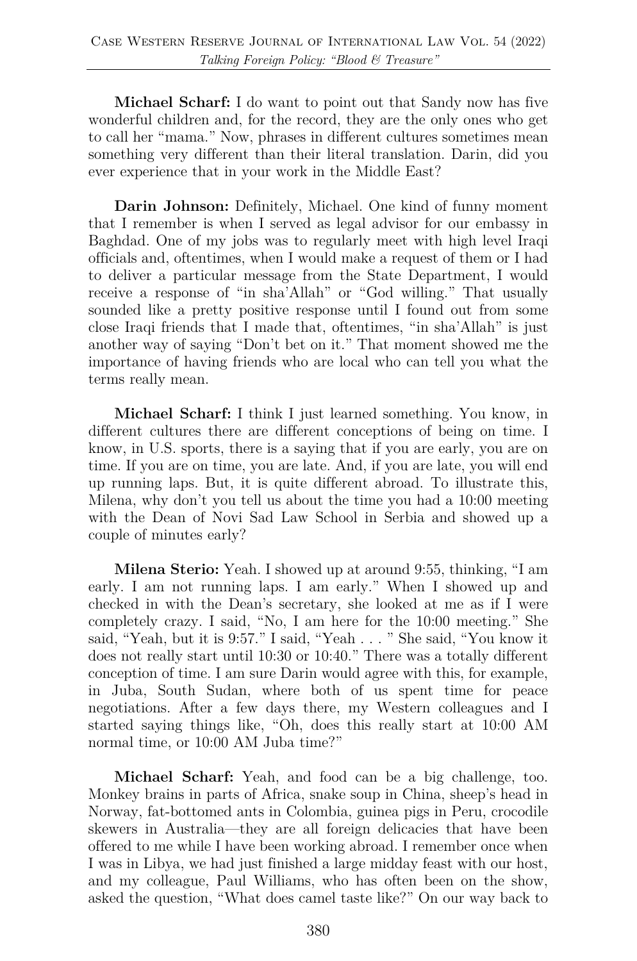**Michael Scharf:** I do want to point out that Sandy now has five wonderful children and, for the record, they are the only ones who get to call her "mama." Now, phrases in different cultures sometimes mean something very different than their literal translation. Darin, did you ever experience that in your work in the Middle East?

**Darin Johnson:** Definitely, Michael. One kind of funny moment that I remember is when I served as legal advisor for our embassy in Baghdad. One of my jobs was to regularly meet with high level Iraqi officials and, oftentimes, when I would make a request of them or I had to deliver a particular message from the State Department, I would receive a response of "in sha'Allah" or "God willing." That usually sounded like a pretty positive response until I found out from some close Iraqi friends that I made that, oftentimes, "in sha'Allah" is just another way of saying "Don't bet on it." That moment showed me the importance of having friends who are local who can tell you what the terms really mean.

**Michael Scharf:** I think I just learned something. You know, in different cultures there are different conceptions of being on time. I know, in U.S. sports, there is a saying that if you are early, you are on time. If you are on time, you are late. And, if you are late, you will end up running laps. But, it is quite different abroad. To illustrate this, Milena, why don't you tell us about the time you had a 10:00 meeting with the Dean of Novi Sad Law School in Serbia and showed up a couple of minutes early?

**Milena Sterio:** Yeah. I showed up at around 9:55, thinking, "I am early. I am not running laps. I am early." When I showed up and checked in with the Dean's secretary, she looked at me as if I were completely crazy. I said, "No, I am here for the 10:00 meeting." She said, "Yeah, but it is 9:57." I said, "Yeah . . . " She said, "You know it does not really start until 10:30 or 10:40." There was a totally different conception of time. I am sure Darin would agree with this, for example, in Juba, South Sudan, where both of us spent time for peace negotiations. After a few days there, my Western colleagues and I started saying things like, "Oh, does this really start at 10:00 AM normal time, or 10:00 AM Juba time?"

**Michael Scharf:** Yeah, and food can be a big challenge, too. Monkey brains in parts of Africa, snake soup in China, sheep's head in Norway, fat-bottomed ants in Colombia, guinea pigs in Peru, crocodile skewers in Australia—they are all foreign delicacies that have been offered to me while I have been working abroad. I remember once when I was in Libya, we had just finished a large midday feast with our host, and my colleague, Paul Williams, who has often been on the show, asked the question, "What does camel taste like?" On our way back to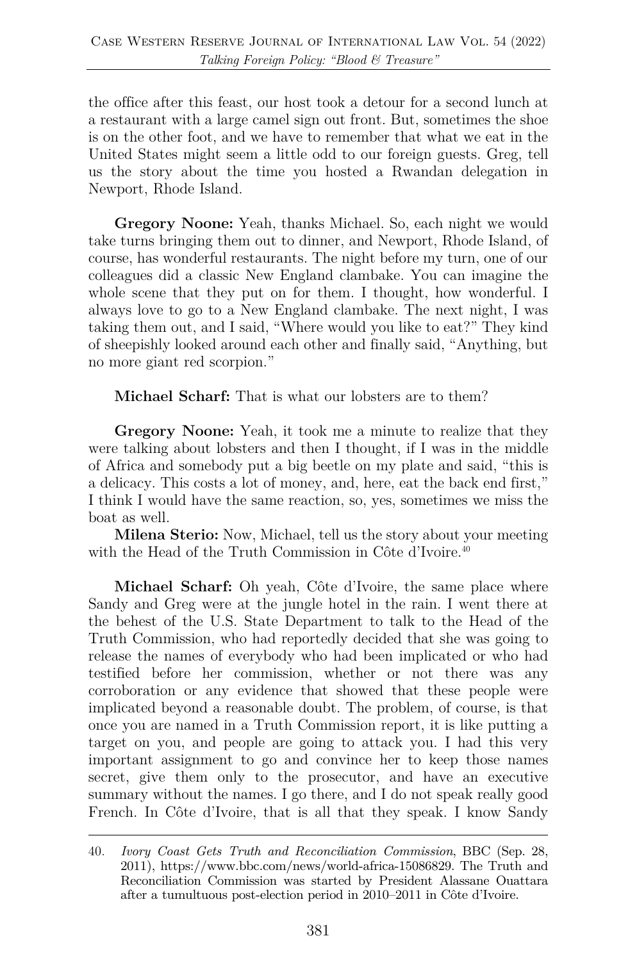the office after this feast, our host took a detour for a second lunch at a restaurant with a large camel sign out front. But, sometimes the shoe is on the other foot, and we have to remember that what we eat in the United States might seem a little odd to our foreign guests. Greg, tell us the story about the time you hosted a Rwandan delegation in Newport, Rhode Island.

**Gregory Noone:** Yeah, thanks Michael. So, each night we would take turns bringing them out to dinner, and Newport, Rhode Island, of course, has wonderful restaurants. The night before my turn, one of our colleagues did a classic New England clambake. You can imagine the whole scene that they put on for them. I thought, how wonderful. I always love to go to a New England clambake. The next night, I was taking them out, and I said, "Where would you like to eat?" They kind of sheepishly looked around each other and finally said, "Anything, but no more giant red scorpion."

**Michael Scharf:** That is what our lobsters are to them?

**Gregory Noone:** Yeah, it took me a minute to realize that they were talking about lobsters and then I thought, if I was in the middle of Africa and somebody put a big beetle on my plate and said, "this is a delicacy. This costs a lot of money, and, here, eat the back end first," I think I would have the same reaction, so, yes, sometimes we miss the boat as well.

**Milena Sterio:** Now, Michael, tell us the story about your meeting with the Head of the Truth Commission in Côte d'Ivoire.<sup>40</sup>

**Michael Scharf:** Oh yeah, Côte d'Ivoire, the same place where Sandy and Greg were at the jungle hotel in the rain. I went there at the behest of the U.S. State Department to talk to the Head of the Truth Commission, who had reportedly decided that she was going to release the names of everybody who had been implicated or who had testified before her commission, whether or not there was any corroboration or any evidence that showed that these people were implicated beyond a reasonable doubt. The problem, of course, is that once you are named in a Truth Commission report, it is like putting a target on you, and people are going to attack you. I had this very important assignment to go and convince her to keep those names secret, give them only to the prosecutor, and have an executive summary without the names. I go there, and I do not speak really good French. In Côte d'Ivoire, that is all that they speak. I know Sandy

<sup>40.</sup> *Ivory Coast Gets Truth and Reconciliation Commission*, BBC (Sep. 28, 2011), https://www.bbc.com/news/world-africa-15086829. The Truth and Reconciliation Commission was started by President Alassane Ouattara after a tumultuous post-election period in 2010–2011 in Côte d'Ivoire.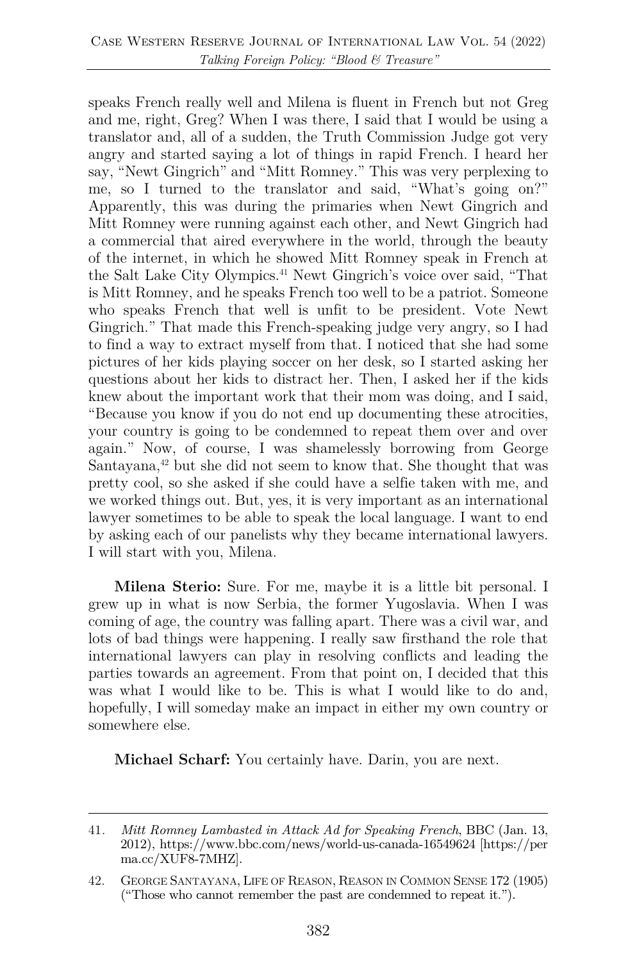speaks French really well and Milena is fluent in French but not Greg and me, right, Greg? When I was there, I said that I would be using a translator and, all of a sudden, the Truth Commission Judge got very angry and started saying a lot of things in rapid French. I heard her say, "Newt Gingrich" and "Mitt Romney." This was very perplexing to me, so I turned to the translator and said, "What's going on?" Apparently, this was during the primaries when Newt Gingrich and Mitt Romney were running against each other, and Newt Gingrich had a commercial that aired everywhere in the world, through the beauty of the internet, in which he showed Mitt Romney speak in French at the Salt Lake City Olympics.<sup>41</sup> Newt Gingrich's voice over said, "That is Mitt Romney, and he speaks French too well to be a patriot. Someone who speaks French that well is unfit to be president. Vote Newt Gingrich." That made this French-speaking judge very angry, so I had to find a way to extract myself from that. I noticed that she had some pictures of her kids playing soccer on her desk, so I started asking her questions about her kids to distract her. Then, I asked her if the kids knew about the important work that their mom was doing, and I said, "Because you know if you do not end up documenting these atrocities, your country is going to be condemned to repeat them over and over again." Now, of course, I was shamelessly borrowing from George Santayana, $42$  but she did not seem to know that. She thought that was pretty cool, so she asked if she could have a selfie taken with me, and we worked things out. But, yes, it is very important as an international lawyer sometimes to be able to speak the local language. I want to end by asking each of our panelists why they became international lawyers. I will start with you, Milena.

**Milena Sterio:** Sure. For me, maybe it is a little bit personal. I grew up in what is now Serbia, the former Yugoslavia. When I was coming of age, the country was falling apart. There was a civil war, and lots of bad things were happening. I really saw firsthand the role that international lawyers can play in resolving conflicts and leading the parties towards an agreement. From that point on, I decided that this was what I would like to be. This is what I would like to do and, hopefully, I will someday make an impact in either my own country or somewhere else.

**Michael Scharf:** You certainly have. Darin, you are next.

<sup>41</sup>*. Mitt Romney Lambasted in Attack Ad for Speaking French*, BBC (Jan. 13, 2012), https://www.bbc.com/news/world-us-canada-16549624 [https://per ma.cc/XUF8-7MHZ].

<sup>42.</sup> GEORGE SANTAYANA, LIFE OF REASON, REASON IN COMMON SENSE 172 (1905) ("Those who cannot remember the past are condemned to repeat it.").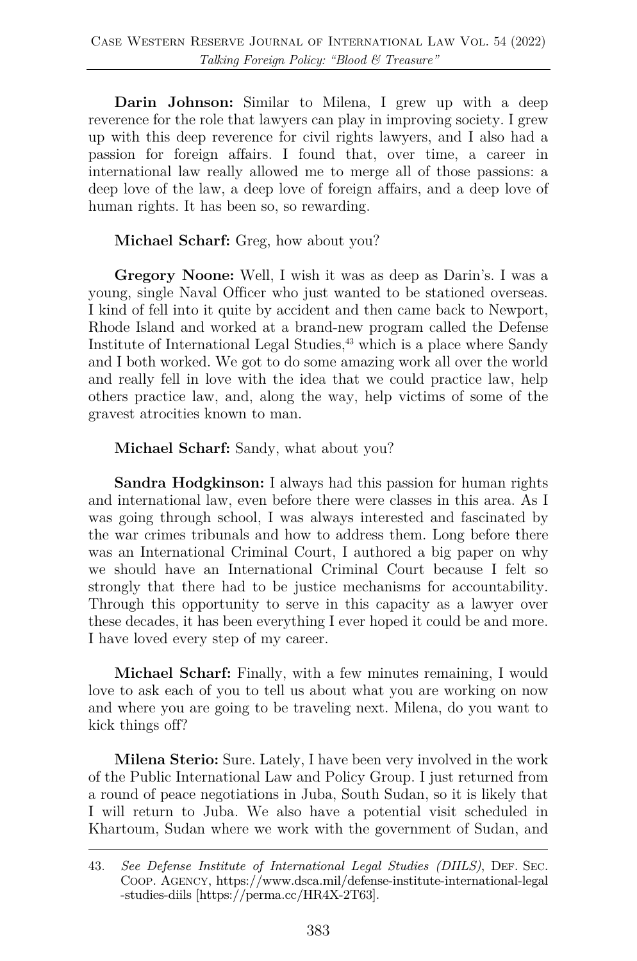**Darin Johnson:** Similar to Milena, I grew up with a deep reverence for the role that lawyers can play in improving society. I grew up with this deep reverence for civil rights lawyers, and I also had a passion for foreign affairs. I found that, over time, a career in international law really allowed me to merge all of those passions: a deep love of the law, a deep love of foreign affairs, and a deep love of human rights. It has been so, so rewarding.

**Michael Scharf:** Greg, how about you?

**Gregory Noone:** Well, I wish it was as deep as Darin's. I was a young, single Naval Officer who just wanted to be stationed overseas. I kind of fell into it quite by accident and then came back to Newport, Rhode Island and worked at a brand-new program called the Defense Institute of International Legal Studies,  $43$  which is a place where Sandy and I both worked. We got to do some amazing work all over the world and really fell in love with the idea that we could practice law, help others practice law, and, along the way, help victims of some of the gravest atrocities known to man.

**Michael Scharf:** Sandy, what about you?

**Sandra Hodgkinson:** I always had this passion for human rights and international law, even before there were classes in this area. As I was going through school, I was always interested and fascinated by the war crimes tribunals and how to address them. Long before there was an International Criminal Court, I authored a big paper on why we should have an International Criminal Court because I felt so strongly that there had to be justice mechanisms for accountability. Through this opportunity to serve in this capacity as a lawyer over these decades, it has been everything I ever hoped it could be and more. I have loved every step of my career.

**Michael Scharf:** Finally, with a few minutes remaining, I would love to ask each of you to tell us about what you are working on now and where you are going to be traveling next. Milena, do you want to kick things off?

**Milena Sterio:** Sure. Lately, I have been very involved in the work of the Public International Law and Policy Group. I just returned from a round of peace negotiations in Juba, South Sudan, so it is likely that I will return to Juba. We also have a potential visit scheduled in Khartoum, Sudan where we work with the government of Sudan, and

<sup>43.</sup> *See Defense Institute of International Legal Studies (DIILS)*, DEF. SEC. COOP. AGENCY, https://www.dsca.mil/defense-institute-international-legal -studies-diils [https://perma.cc/HR4X-2T63].